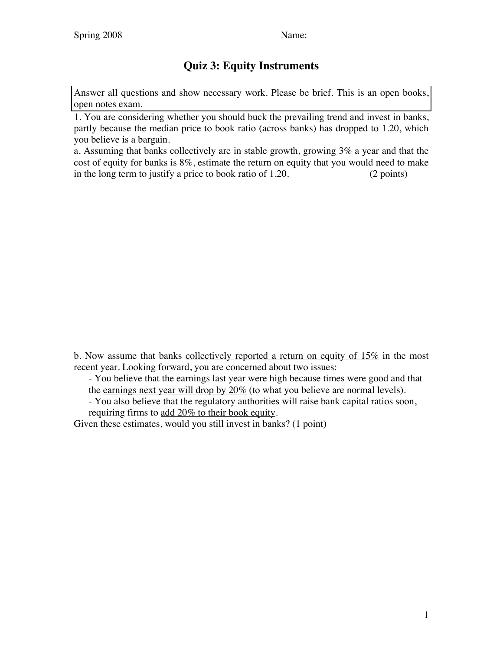## **Quiz 3: Equity Instruments**

Answer all questions and show necessary work. Please be brief. This is an open books, open notes exam.

1. You are considering whether you should buck the prevailing trend and invest in banks, partly because the median price to book ratio (across banks) has dropped to 1.20, which you believe is a bargain.

a. Assuming that banks collectively are in stable growth, growing 3% a year and that the cost of equity for banks is 8%, estimate the return on equity that you would need to make in the long term to justify a price to book ratio of 1.20. (2 points)

b. Now assume that banks collectively reported a return on equity of  $15\%$  in the most recent year. Looking forward, you are concerned about two issues:

- You believe that the earnings last year were high because times were good and that the earnings next year will drop by  $20\%$  (to what you believe are normal levels).

- You also believe that the regulatory authorities will raise bank capital ratios soon, requiring firms to add 20% to their book equity.

Given these estimates, would you still invest in banks? (1 point)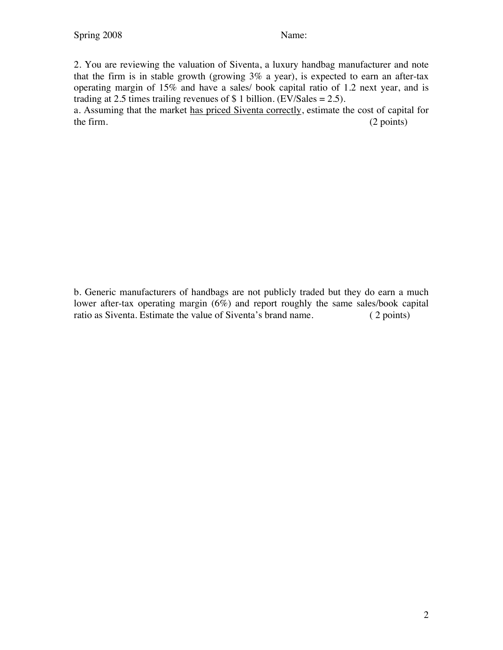2. You are reviewing the valuation of Siventa, a luxury handbag manufacturer and note that the firm is in stable growth (growing  $3\%$  a year), is expected to earn an after-tax operating margin of 15% and have a sales/ book capital ratio of 1.2 next year, and is trading at 2.5 times trailing revenues of  $\$$  1 billion. (EV/Sales = 2.5).

a. Assuming that the market has priced Siventa correctly, estimate the cost of capital for the firm. (2 points)

b. Generic manufacturers of handbags are not publicly traded but they do earn a much lower after-tax operating margin (6%) and report roughly the same sales/book capital ratio as Siventa. Estimate the value of Siventa's brand name. (2 points)